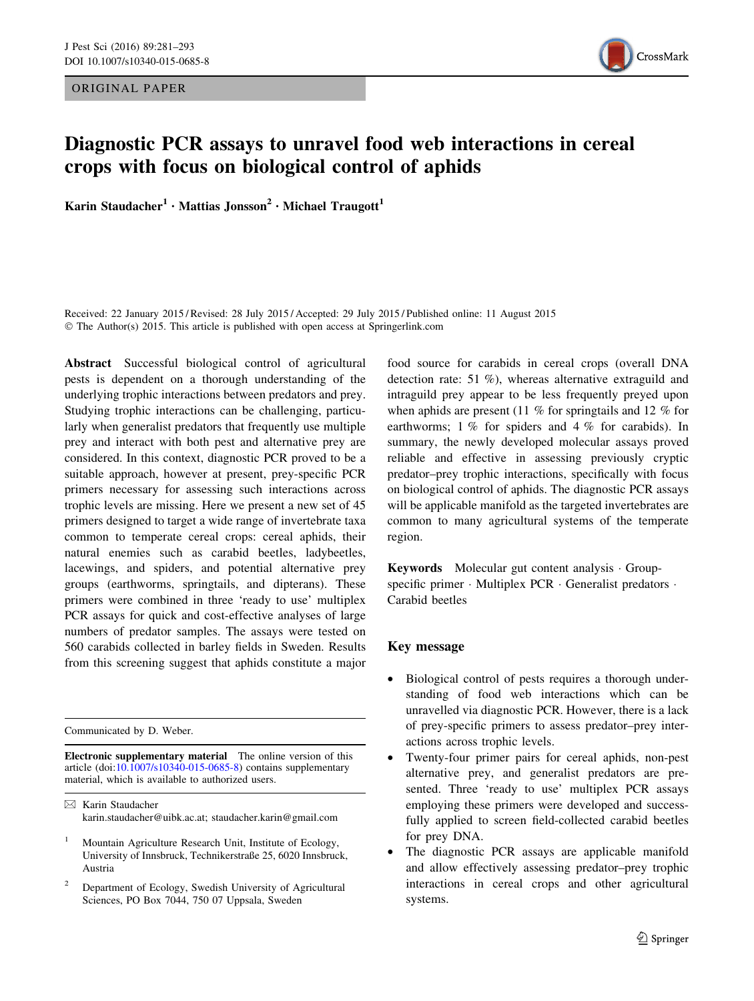ORIGINAL PAPER



# Diagnostic PCR assays to unravel food web interactions in cereal crops with focus on biological control of aphids

Karin Staudacher<sup>1</sup> · Mattias Jonsson<sup>2</sup> · Michael Traugott<sup>1</sup>

Received: 22 January 2015 / Revised: 28 July 2015 / Accepted: 29 July 2015 / Published online: 11 August 2015 © The Author(s) 2015. This article is published with open access at Springerlink.com

Abstract Successful biological control of agricultural pests is dependent on a thorough understanding of the underlying trophic interactions between predators and prey. Studying trophic interactions can be challenging, particularly when generalist predators that frequently use multiple prey and interact with both pest and alternative prey are considered. In this context, diagnostic PCR proved to be a suitable approach, however at present, prey-specific PCR primers necessary for assessing such interactions across trophic levels are missing. Here we present a new set of 45 primers designed to target a wide range of invertebrate taxa common to temperate cereal crops: cereal aphids, their natural enemies such as carabid beetles, ladybeetles, lacewings, and spiders, and potential alternative prey groups (earthworms, springtails, and dipterans). These primers were combined in three 'ready to use' multiplex PCR assays for quick and cost-effective analyses of large numbers of predator samples. The assays were tested on 560 carabids collected in barley fields in Sweden. Results from this screening suggest that aphids constitute a major

Communicated by D. Weber.

Electronic supplementary material The online version of this article (doi:[10.1007/s10340-015-0685-8\)](http://dx.doi.org/10.1007/s10340-015-0685-8) contains supplementary material, which is available to authorized users.

 $\boxtimes$  Karin Staudacher karin.staudacher@uibk.ac.at; staudacher.karin@gmail.com

- <sup>1</sup> Mountain Agriculture Research Unit, Institute of Ecology, University of Innsbruck, Technikerstraße 25, 6020 Innsbruck, Austria
- <sup>2</sup> Department of Ecology, Swedish University of Agricultural Sciences, PO Box 7044, 750 07 Uppsala, Sweden

food source for carabids in cereal crops (overall DNA detection rate: 51 %), whereas alternative extraguild and intraguild prey appear to be less frequently preyed upon when aphids are present (11 % for springtails and 12 % for earthworms; 1 % for spiders and 4 % for carabids). In summary, the newly developed molecular assays proved reliable and effective in assessing previously cryptic predator–prey trophic interactions, specifically with focus on biological control of aphids. The diagnostic PCR assays will be applicable manifold as the targeted invertebrates are common to many agricultural systems of the temperate region.

Keywords Molecular gut content analysis - Groupspecific primer · Multiplex PCR · Generalist predators · Carabid beetles

## Key message

- Biological control of pests requires a thorough understanding of food web interactions which can be unravelled via diagnostic PCR. However, there is a lack of prey-specific primers to assess predator–prey interactions across trophic levels.
- Twenty-four primer pairs for cereal aphids, non-pest alternative prey, and generalist predators are presented. Three 'ready to use' multiplex PCR assays employing these primers were developed and successfully applied to screen field-collected carabid beetles for prey DNA.
- The diagnostic PCR assays are applicable manifold and allow effectively assessing predator–prey trophic interactions in cereal crops and other agricultural systems.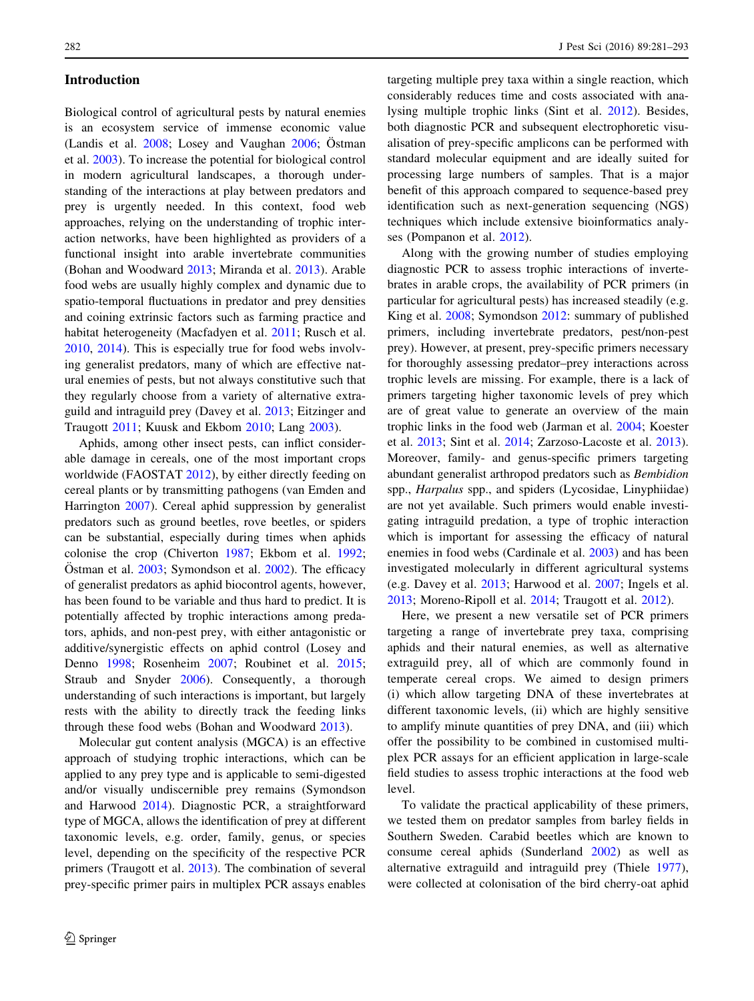## Introduction

Biological control of agricultural pests by natural enemies is an ecosystem service of immense economic value (Landis et al.  $2008$ ; Losey and Vaughan  $2006$ ; Östman et al. [2003](#page-12-0)). To increase the potential for biological control in modern agricultural landscapes, a thorough understanding of the interactions at play between predators and prey is urgently needed. In this context, food web approaches, relying on the understanding of trophic interaction networks, have been highlighted as providers of a functional insight into arable invertebrate communities (Bohan and Woodward [2013;](#page-11-0) Miranda et al. [2013](#page-12-0)). Arable food webs are usually highly complex and dynamic due to spatio-temporal fluctuations in predator and prey densities and coining extrinsic factors such as farming practice and habitat heterogeneity (Macfadyen et al. [2011;](#page-11-0) Rusch et al. [2010,](#page-12-0) [2014\)](#page-12-0). This is especially true for food webs involving generalist predators, many of which are effective natural enemies of pests, but not always constitutive such that they regularly choose from a variety of alternative extraguild and intraguild prey (Davey et al. [2013](#page-11-0); Eitzinger and Traugott [2011;](#page-11-0) Kuusk and Ekbom [2010](#page-11-0); Lang [2003](#page-11-0)).

Aphids, among other insect pests, can inflict considerable damage in cereals, one of the most important crops worldwide (FAOSTAT [2012\)](#page-11-0), by either directly feeding on cereal plants or by transmitting pathogens (van Emden and Harrington [2007\)](#page-12-0). Cereal aphid suppression by generalist predators such as ground beetles, rove beetles, or spiders can be substantial, especially during times when aphids colonise the crop (Chiverton [1987;](#page-11-0) Ekbom et al. [1992](#page-11-0); Ostman et al.  $2003$ ; Symondson et al.  $2002$ ). The efficacy of generalist predators as aphid biocontrol agents, however, has been found to be variable and thus hard to predict. It is potentially affected by trophic interactions among predators, aphids, and non-pest prey, with either antagonistic or additive/synergistic effects on aphid control (Losey and Denno [1998;](#page-11-0) Rosenheim [2007](#page-12-0); Roubinet et al. [2015](#page-12-0); Straub and Snyder [2006\)](#page-12-0). Consequently, a thorough understanding of such interactions is important, but largely rests with the ability to directly track the feeding links through these food webs (Bohan and Woodward [2013\)](#page-11-0).

Molecular gut content analysis (MGCA) is an effective approach of studying trophic interactions, which can be applied to any prey type and is applicable to semi-digested and/or visually undiscernible prey remains (Symondson and Harwood [2014\)](#page-12-0). Diagnostic PCR, a straightforward type of MGCA, allows the identification of prey at different taxonomic levels, e.g. order, family, genus, or species level, depending on the specificity of the respective PCR primers (Traugott et al. [2013\)](#page-12-0). The combination of several prey-specific primer pairs in multiplex PCR assays enables targeting multiple prey taxa within a single reaction, which considerably reduces time and costs associated with analysing multiple trophic links (Sint et al. [2012](#page-12-0)). Besides, both diagnostic PCR and subsequent electrophoretic visualisation of prey-specific amplicons can be performed with standard molecular equipment and are ideally suited for processing large numbers of samples. That is a major benefit of this approach compared to sequence-based prey identification such as next-generation sequencing (NGS) techniques which include extensive bioinformatics analyses (Pompanon et al. [2012\)](#page-12-0).

Along with the growing number of studies employing diagnostic PCR to assess trophic interactions of invertebrates in arable crops, the availability of PCR primers (in particular for agricultural pests) has increased steadily (e.g. King et al. [2008](#page-11-0); Symondson [2012:](#page-12-0) summary of published primers, including invertebrate predators, pest/non-pest prey). However, at present, prey-specific primers necessary for thoroughly assessing predator–prey interactions across trophic levels are missing. For example, there is a lack of primers targeting higher taxonomic levels of prey which are of great value to generate an overview of the main trophic links in the food web (Jarman et al. [2004](#page-11-0); Koester et al. [2013;](#page-11-0) Sint et al. [2014;](#page-12-0) Zarzoso-Lacoste et al. [2013](#page-12-0)). Moreover, family- and genus-specific primers targeting abundant generalist arthropod predators such as Bembidion spp., Harpalus spp., and spiders (Lycosidae, Linyphiidae) are not yet available. Such primers would enable investigating intraguild predation, a type of trophic interaction which is important for assessing the efficacy of natural enemies in food webs (Cardinale et al. [2003](#page-11-0)) and has been investigated molecularly in different agricultural systems (e.g. Davey et al. [2013](#page-11-0); Harwood et al. [2007](#page-11-0); Ingels et al. [2013](#page-11-0); Moreno-Ripoll et al. [2014](#page-12-0); Traugott et al. [2012\)](#page-12-0).

Here, we present a new versatile set of PCR primers targeting a range of invertebrate prey taxa, comprising aphids and their natural enemies, as well as alternative extraguild prey, all of which are commonly found in temperate cereal crops. We aimed to design primers (i) which allow targeting DNA of these invertebrates at different taxonomic levels, (ii) which are highly sensitive to amplify minute quantities of prey DNA, and (iii) which offer the possibility to be combined in customised multiplex PCR assays for an efficient application in large-scale field studies to assess trophic interactions at the food web level.

To validate the practical applicability of these primers, we tested them on predator samples from barley fields in Southern Sweden. Carabid beetles which are known to consume cereal aphids (Sunderland [2002](#page-12-0)) as well as alternative extraguild and intraguild prey (Thiele [1977](#page-12-0)), were collected at colonisation of the bird cherry-oat aphid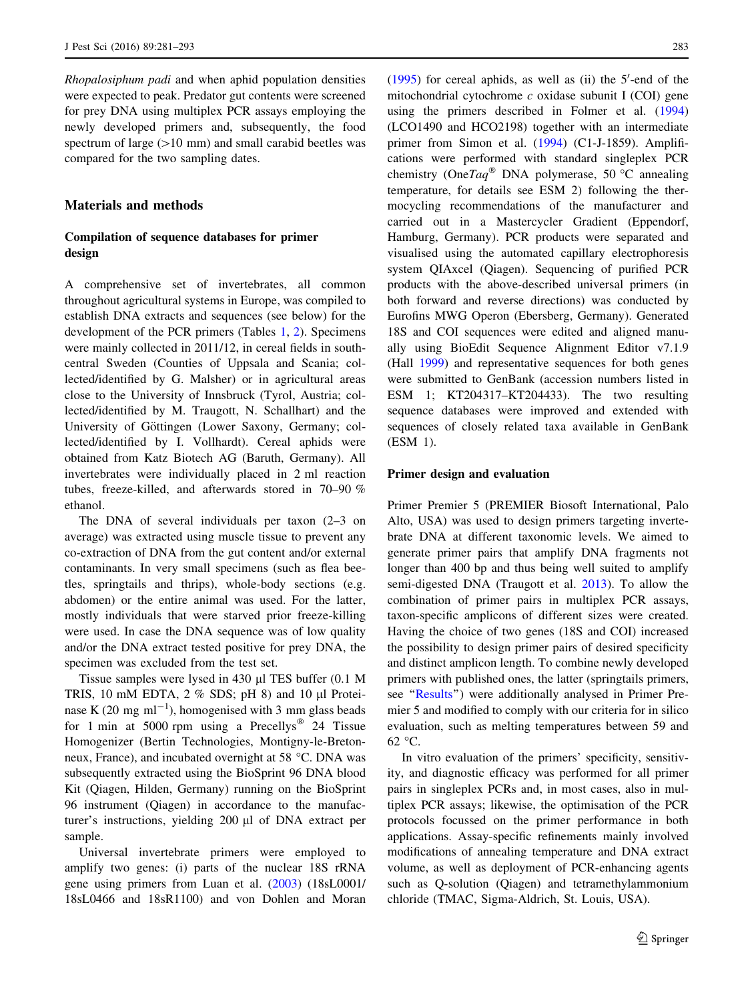<span id="page-2-0"></span>Rhopalosiphum padi and when aphid population densities were expected to peak. Predator gut contents were screened for prey DNA using multiplex PCR assays employing the newly developed primers and, subsequently, the food spectrum of large  $(>10 \text{ mm})$  and small carabid beetles was compared for the two sampling dates.

#### Materials and methods

## Compilation of sequence databases for primer design

A comprehensive set of invertebrates, all common throughout agricultural systems in Europe, was compiled to establish DNA extracts and sequences (see below) for the development of the PCR primers (Tables [1](#page-3-0), [2\)](#page-4-0). Specimens were mainly collected in 2011/12, in cereal fields in southcentral Sweden (Counties of Uppsala and Scania; collected/identified by G. Malsher) or in agricultural areas close to the University of Innsbruck (Tyrol, Austria; collected/identified by M. Traugott, N. Schallhart) and the University of Göttingen (Lower Saxony, Germany; collected/identified by I. Vollhardt). Cereal aphids were obtained from Katz Biotech AG (Baruth, Germany). All invertebrates were individually placed in 2 ml reaction tubes, freeze-killed, and afterwards stored in 70–90 % ethanol.

The DNA of several individuals per taxon (2–3 on average) was extracted using muscle tissue to prevent any co-extraction of DNA from the gut content and/or external contaminants. In very small specimens (such as flea beetles, springtails and thrips), whole-body sections (e.g. abdomen) or the entire animal was used. For the latter, mostly individuals that were starved prior freeze-killing were used. In case the DNA sequence was of low quality and/or the DNA extract tested positive for prey DNA, the specimen was excluded from the test set.

Tissue samples were lysed in  $430 \mu$ I TES buffer (0.1 M) TRIS, 10 mM EDTA, 2  $%$  SDS; pH 8) and 10  $\mu$ l Proteinase K (20 mg m $l^{-1}$ ), homogenised with 3 mm glass beads for 1 min at 5000 rpm using a Precellys<sup>®</sup> 24 Tissue Homogenizer (Bertin Technologies, Montigny-le-Bretonneux, France), and incubated overnight at 58  $^{\circ}$ C. DNA was subsequently extracted using the BioSprint 96 DNA blood Kit (Qiagen, Hilden, Germany) running on the BioSprint 96 instrument (Qiagen) in accordance to the manufacturer's instructions, yielding 200 µl of DNA extract per sample.

Universal invertebrate primers were employed to amplify two genes: (i) parts of the nuclear 18S rRNA gene using primers from Luan et al. [\(2003](#page-11-0)) (18sL0001/ 18sL0466 and 18sR1100) and von Dohlen and Moran

 $(1995)$  $(1995)$  for cereal aphids, as well as (ii) the  $5'$ -end of the mitochondrial cytochrome  $c$  oxidase subunit I (COI) gene using the primers described in Folmer et al. ([1994\)](#page-11-0) (LCO1490 and HCO2198) together with an intermediate primer from Simon et al. ([1994\)](#page-12-0) (C1-J-1859). Amplifications were performed with standard singleplex PCR chemistry (OneTaq<sup>®</sup> DNA polymerase, 50 °C annealing temperature, for details see ESM 2) following the thermocycling recommendations of the manufacturer and carried out in a Mastercycler Gradient (Eppendorf, Hamburg, Germany). PCR products were separated and visualised using the automated capillary electrophoresis system QIAxcel (Qiagen). Sequencing of purified PCR products with the above-described universal primers (in both forward and reverse directions) was conducted by Eurofins MWG Operon (Ebersberg, Germany). Generated 18S and COI sequences were edited and aligned manually using BioEdit Sequence Alignment Editor v7.1.9 (Hall [1999](#page-11-0)) and representative sequences for both genes were submitted to GenBank (accession numbers listed in ESM 1; KT204317–KT204433). The two resulting sequence databases were improved and extended with sequences of closely related taxa available in GenBank (ESM 1).

#### Primer design and evaluation

Primer Premier 5 (PREMIER Biosoft International, Palo Alto, USA) was used to design primers targeting invertebrate DNA at different taxonomic levels. We aimed to generate primer pairs that amplify DNA fragments not longer than 400 bp and thus being well suited to amplify semi-digested DNA (Traugott et al. [2013\)](#page-12-0). To allow the combination of primer pairs in multiplex PCR assays, taxon-specific amplicons of different sizes were created. Having the choice of two genes (18S and COI) increased the possibility to design primer pairs of desired specificity and distinct amplicon length. To combine newly developed primers with published ones, the latter (springtails primers, see '['Results'](#page-6-0)') were additionally analysed in Primer Premier 5 and modified to comply with our criteria for in silico evaluation, such as melting temperatures between 59 and  $62^{\circ}$ C.

In vitro evaluation of the primers' specificity, sensitivity, and diagnostic efficacy was performed for all primer pairs in singleplex PCRs and, in most cases, also in multiplex PCR assays; likewise, the optimisation of the PCR protocols focussed on the primer performance in both applications. Assay-specific refinements mainly involved modifications of annealing temperature and DNA extract volume, as well as deployment of PCR-enhancing agents such as Q-solution (Qiagen) and tetramethylammonium chloride (TMAC, Sigma-Aldrich, St. Louis, USA).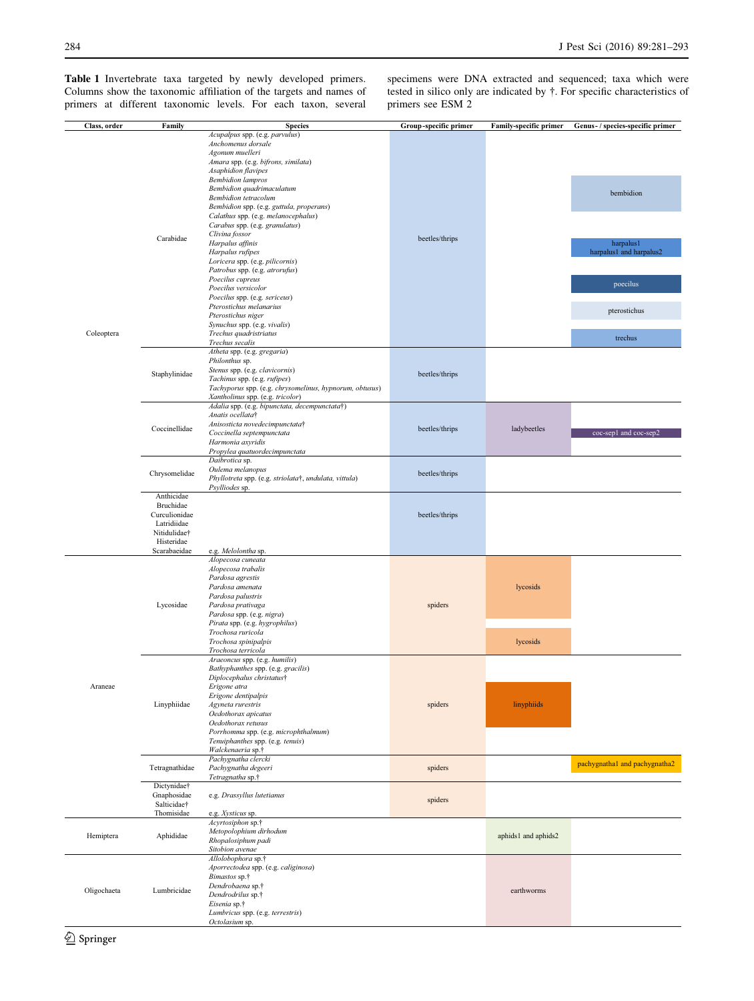<span id="page-3-0"></span>Table 1 Invertebrate taxa targeted by newly developed primers. Columns show the taxonomic affiliation of the targets and names of primers at different taxonomic levels. For each taxon, several specimens were DNA extracted and sequenced; taxa which were tested in silico only are indicated by  $\dagger$ . For specific characteristics of primers see ESM 2

| Class, order | Family                    | <b>Species</b>                                                          | Group-specific primer | Family-specific primer | Genus-/species-specific primer |
|--------------|---------------------------|-------------------------------------------------------------------------|-----------------------|------------------------|--------------------------------|
|              |                           | Acupalpus spp. (e.g. parvulus)                                          |                       |                        |                                |
|              |                           | Anchomenus dorsale                                                      |                       |                        |                                |
|              |                           | Agonum muelleri                                                         |                       |                        |                                |
|              |                           | Amara spp. (e.g. bifrons, similata)                                     |                       |                        |                                |
|              |                           | Asaphidion flavipes                                                     |                       |                        |                                |
|              |                           | <b>Bembidion</b> lampros                                                |                       |                        |                                |
|              |                           | Bembidion quadrimaculatum                                               |                       |                        |                                |
|              |                           | <b>Bembidion</b> tetracolum                                             |                       |                        | bembidion                      |
|              |                           | Bembidion spp. (e.g. guttula, properans)                                |                       |                        |                                |
|              |                           | Calathus spp. (e.g. melanocephalus)                                     |                       |                        |                                |
|              |                           | Carabus spp. (e.g. granulatus)                                          |                       |                        |                                |
|              | Carabidae                 | Clivina fossor                                                          | beetles/thrips        |                        |                                |
|              |                           | Harpalus affinis<br>Harpalus rufipes                                    |                       |                        | harpalus1                      |
|              |                           | Loricera spp. (e.g. pilicornis)                                         |                       |                        | harpalus1 and harpalus2        |
|              |                           | Patrobus spp. (e.g. atrorufus)                                          |                       |                        |                                |
|              |                           | Poecilus cupreus                                                        |                       |                        |                                |
|              |                           | Poecilus versicolor                                                     |                       |                        | poecilus                       |
|              |                           | Poecilus spp. (e.g. sericeus)                                           |                       |                        |                                |
|              |                           | Pterostichus melanarius                                                 |                       |                        | pterostichus                   |
|              |                           | Pterostichus niger                                                      |                       |                        |                                |
|              |                           | Synuchus spp. (e.g. vivalis)                                            |                       |                        |                                |
| Coleoptera   |                           | Trechus quadristriatus                                                  |                       |                        | trechus                        |
|              |                           | Trechus secalis                                                         |                       |                        |                                |
|              |                           | Atheta spp. (e.g. gregaria)                                             |                       |                        |                                |
|              |                           | Philonthus sp.<br>Stenus spp. (e.g. clavicornis)                        |                       |                        |                                |
|              | Staphylinidae             | Tachinus spp. (e.g. rufipes)                                            | beetles/thrips        |                        |                                |
|              |                           | Tachyporus spp. (e.g. chrysomelinus, hypnorum, obtusus)                 |                       |                        |                                |
|              |                           | Xantholinus spp. (e.g. tricolor)                                        |                       |                        |                                |
|              |                           | Adalia spp. (e.g. bipunctata, decempunctata†)                           |                       |                        |                                |
|              |                           | Anatis ocellata <sup>*</sup>                                            |                       |                        |                                |
|              | Coccinellidae             | Anisosticta novedecimpunctata <sup>+</sup>                              |                       |                        |                                |
|              |                           | Coccinella septempunctata                                               | beetles/thrips        | ladybeetles            | coc-sep1 and coc-sep2          |
|              |                           | Harmonia axyridis                                                       |                       |                        |                                |
|              |                           | Propylea quatuordecimpunctata                                           |                       |                        |                                |
|              |                           | Daibrotica sp.                                                          |                       |                        |                                |
|              | Chrysomelidae             | Oulema melanopus                                                        | beetles/thrips        |                        |                                |
|              |                           | Phyllotreta spp. (e.g. striolata†, undulata, vittula)<br>Psylliodes sp. |                       |                        |                                |
|              | Anthicidae                |                                                                         |                       |                        |                                |
|              | Bruchidae                 |                                                                         |                       |                        |                                |
|              | Curculionidae             |                                                                         | beetles/thrips        |                        |                                |
|              | Latridiidae               |                                                                         |                       |                        |                                |
|              | Nitidulidae†              |                                                                         |                       |                        |                                |
|              | Histeridae                |                                                                         |                       |                        |                                |
|              | Scarabaeidae              | e.g. Melolontha sp.                                                     |                       |                        |                                |
|              |                           | Alopecosa cuneata                                                       |                       |                        |                                |
|              |                           | Alopecosa trabalis                                                      |                       |                        |                                |
|              |                           | Pardosa agrestis                                                        |                       |                        |                                |
|              |                           | Pardosa amenata                                                         |                       | lycosids               |                                |
|              | Lycosidae                 | Pardosa palustris<br>Pardosa prativaga                                  | spiders               |                        |                                |
|              |                           | Pardosa spp. (e.g. nigra)                                               |                       |                        |                                |
|              |                           | Pirata spp. (e.g. hygrophilus)                                          |                       |                        |                                |
|              |                           | Trochosa ruricola                                                       |                       |                        |                                |
|              |                           | Trochosa spinipalpis                                                    |                       | lycosids               |                                |
|              |                           | Trochosa terricola                                                      |                       |                        |                                |
|              |                           | Araeoncus spp. (e.g. humilis)                                           |                       |                        |                                |
|              |                           | Bathyphanthes spp. (e.g. gracilis)                                      |                       |                        |                                |
|              |                           | Diplocephalus christatus†                                               |                       |                        |                                |
| Araneae      |                           | Erigone atra                                                            |                       |                        |                                |
|              |                           | Erigone dentipalpis<br>Agyneta rurestris                                |                       | linyphiids             |                                |
|              | Linyphiidae               | Oedothorax apicatus                                                     | spiders               |                        |                                |
|              |                           | Oedothorax retusus                                                      |                       |                        |                                |
|              |                           | Porrhomma spp. (e.g. microphthalmum)                                    |                       |                        |                                |
|              |                           | Tenuiphanthes spp. (e.g. tenuis)                                        |                       |                        |                                |
|              |                           | Walckenaeria sp.†                                                       |                       |                        |                                |
|              |                           | Pachygnatha clercki                                                     |                       |                        | pachygnatha1 and pachygnatha2  |
|              | Tetragnathidae            | Pachygnatha degeeri                                                     | spiders               |                        |                                |
|              |                           | Tetragnatha sp.†                                                        |                       |                        |                                |
|              | Dictynidae†               |                                                                         |                       |                        |                                |
|              | Gnaphosidae               | e.g. Drassyllus lutetianus                                              | spiders               |                        |                                |
|              | Salticidae†<br>Thomisidae | e.g. Xysticus sp.                                                       |                       |                        |                                |
|              |                           | Acyrtosiphon sp.†                                                       |                       |                        |                                |
|              | Aphididae                 | Metopolophium dirhodum                                                  |                       |                        |                                |
| Hemiptera    |                           | Rhopalosiphum padi                                                      |                       | aphids1 and aphids2    |                                |
|              |                           | Sitobion avenae                                                         |                       |                        |                                |
|              |                           | Allolobophora sp.†                                                      |                       |                        |                                |
|              |                           | Aporrectodea spp. (e.g. caliginosa)                                     |                       |                        |                                |
|              |                           |                                                                         |                       |                        |                                |
|              |                           | Bimastos sp.†                                                           |                       |                        |                                |
|              | Lumbricidae               | Dendrobaena sp.†                                                        |                       | earthworms             |                                |
| Oligochaeta  |                           | Dendrodrilus sp.†                                                       |                       |                        |                                |
|              |                           | Eisenia sp.†<br>Lumbricus spp. (e.g. terrestris)                        |                       |                        |                                |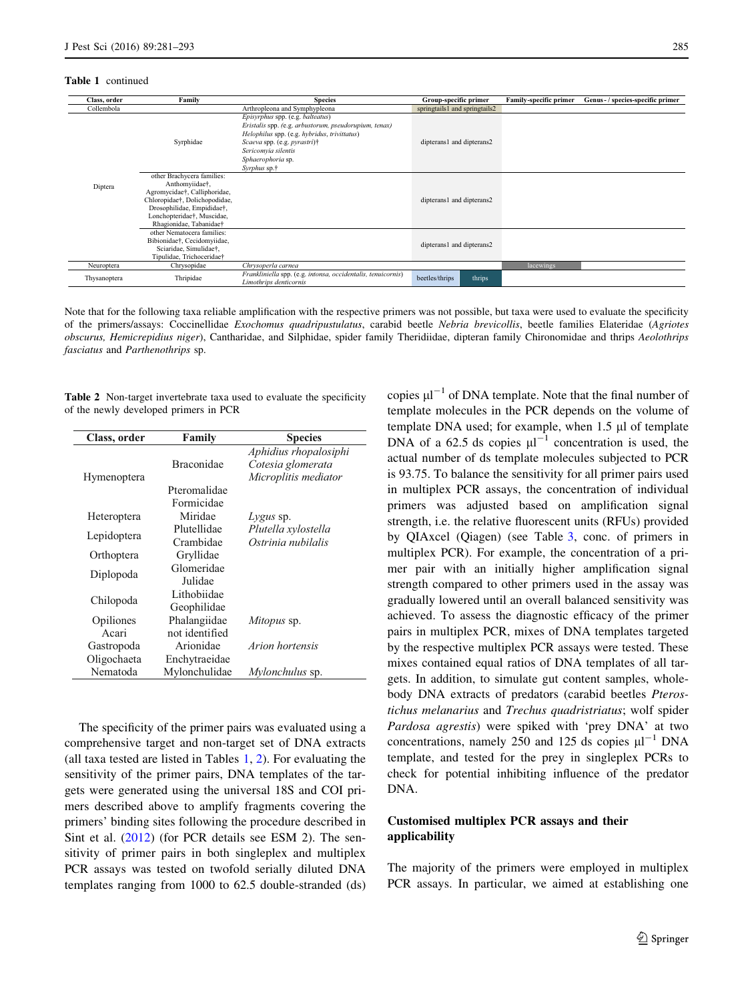#### <span id="page-4-0"></span>Table 1 continued

| Class, order | Family                                                                                                                                                                                               | <b>Species</b>                                                                                                                                                                                                                        | Group-specific primer         | Family-specific primer | Genus-/species-specific primer |
|--------------|------------------------------------------------------------------------------------------------------------------------------------------------------------------------------------------------------|---------------------------------------------------------------------------------------------------------------------------------------------------------------------------------------------------------------------------------------|-------------------------------|------------------------|--------------------------------|
| Collembola   |                                                                                                                                                                                                      | Arthropleona and Symphypleona                                                                                                                                                                                                         | springtails1 and springtails2 |                        |                                |
|              | Syrphidae                                                                                                                                                                                            | Episyrphus spp. (e.g. balteatus)<br>Eristalis spp. (e.g. arbustorum, pseudorupium, tenax)<br>Helophilus spp. (e.g. hybridus, trivittatus)<br>Scaeva spp. (e.g. pyrastri)†<br>Sericomvia silentis<br>Sphaerophoria sp.<br>Syrphus sp.† | dipterans1 and dipterans2     |                        |                                |
| Diptera      | other Brachycera families:<br>Anthomyiidae†,<br>Agromycidae†, Calliphoridae,<br>Chloropidae†, Dolichopodidae,<br>Drosophilidae, Empididae†,<br>Lonchopteridae†, Muscidae,<br>Rhagionidae, Tabanidae† |                                                                                                                                                                                                                                       | dipterans1 and dipterans2     |                        |                                |
|              | other Nematocera families:<br>Bibionidae†, Cecidomyiidae,<br>Sciaridae, Simulidae†,<br>Tipulidae, Trichoceridae†                                                                                     |                                                                                                                                                                                                                                       | dipterans1 and dipterans2     |                        |                                |
| Neuroptera   | Chrysopidae                                                                                                                                                                                          | Chrysoperla carnea                                                                                                                                                                                                                    |                               | lacewings              |                                |
| Thysanoptera | Thripidae                                                                                                                                                                                            | Frankliniella spp. (e.g. intonsa, occidentalis, tenuicornis)<br>Limothrips denticornis                                                                                                                                                | beetles/thrips<br>thrips      |                        |                                |

Note that for the following taxa reliable amplification with the respective primers was not possible, but taxa were used to evaluate the specificity of the primers/assays: Coccinellidae Exochomus quadripustulatus, carabid beetle Nebria brevicollis, beetle families Elateridae (Agriotes obscurus, Hemicrepidius niger), Cantharidae, and Silphidae, spider family Theridiidae, dipteran family Chironomidae and thrips Aeolothrips fasciatus and Parthenothrips sp.

Table 2 Non-target invertebrate taxa used to evaluate the specificity of the newly developed primers in PCR

| Class, order | Family            | <b>Species</b>         |
|--------------|-------------------|------------------------|
|              |                   | Aphidius rhopalosiphi  |
|              | <b>Braconidae</b> | Cotesia glomerata      |
| Hymenoptera  |                   | Microplitis mediator   |
|              | Pteromalidae      |                        |
|              | Formicidae        |                        |
| Heteroptera  | Miridae           | Lygus sp.              |
|              | Plutellidae       | Plutella xylostella    |
| Lepidoptera  | Crambidae         | Ostrinia nubilalis     |
| Orthoptera   | Gryllidae         |                        |
|              | Glomeridae        |                        |
| Diplopoda    | Julidae           |                        |
|              | Lithobiidae       |                        |
| Chilopoda    | Geophilidae       |                        |
| Opiliones    | Phalangiidae      | <i>Mitopus</i> sp.     |
| Acari        | not identified    |                        |
| Gastropoda   | Arionidae         | Arion hortensis        |
| Oligochaeta  | Enchytraeidae     |                        |
| Nematoda     | Mylonchulidae     | <i>Mylonchulus</i> sp. |

The specificity of the primer pairs was evaluated using a comprehensive target and non-target set of DNA extracts (all taxa tested are listed in Tables [1](#page-3-0), 2). For evaluating the sensitivity of the primer pairs, DNA templates of the targets were generated using the universal 18S and COI primers described above to amplify fragments covering the primers' binding sites following the procedure described in Sint et al. ([2012\)](#page-12-0) (for PCR details see ESM 2). The sensitivity of primer pairs in both singleplex and multiplex PCR assays was tested on twofold serially diluted DNA templates ranging from 1000 to 62.5 double-stranded (ds)

copies  $\mu$ <sup>-1</sup> of DNA template. Note that the final number of template molecules in the PCR depends on the volume of template DNA used; for example, when  $1.5$   $\mu$ l of template DNA of a 62.5 ds copies  $\mu$ l<sup>-1</sup> concentration is used, the actual number of ds template molecules subjected to PCR is 93.75. To balance the sensitivity for all primer pairs used in multiplex PCR assays, the concentration of individual primers was adjusted based on amplification signal strength, i.e. the relative fluorescent units (RFUs) provided by QIAxcel (Qiagen) (see Table [3](#page-7-0), conc. of primers in multiplex PCR). For example, the concentration of a primer pair with an initially higher amplification signal strength compared to other primers used in the assay was gradually lowered until an overall balanced sensitivity was achieved. To assess the diagnostic efficacy of the primer pairs in multiplex PCR, mixes of DNA templates targeted by the respective multiplex PCR assays were tested. These mixes contained equal ratios of DNA templates of all targets. In addition, to simulate gut content samples, wholebody DNA extracts of predators (carabid beetles Pterostichus melanarius and Trechus quadristriatus; wolf spider Pardosa agrestis) were spiked with 'prey DNA' at two concentrations, namely 250 and 125 ds copies  $\mu$ l<sup>-1</sup> DNA template, and tested for the prey in singleplex PCRs to check for potential inhibiting influence of the predator DNA.

## Customised multiplex PCR assays and their applicability

The majority of the primers were employed in multiplex PCR assays. In particular, we aimed at establishing one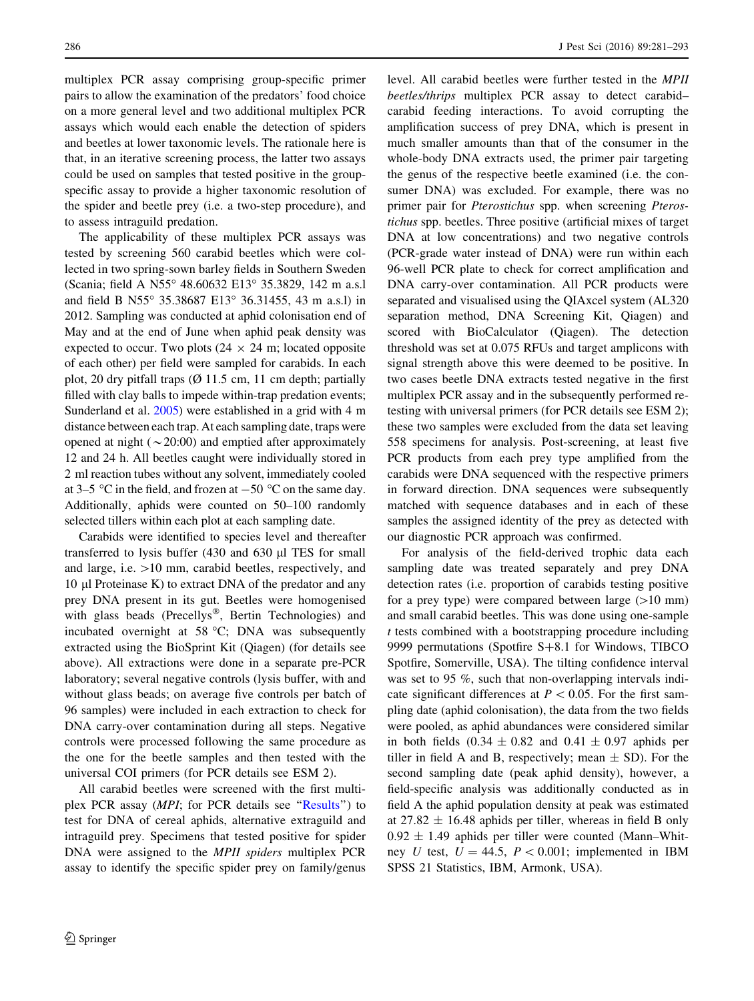multiplex PCR assay comprising group-specific primer pairs to allow the examination of the predators' food choice on a more general level and two additional multiplex PCR assays which would each enable the detection of spiders and beetles at lower taxonomic levels. The rationale here is that, in an iterative screening process, the latter two assays could be used on samples that tested positive in the groupspecific assay to provide a higher taxonomic resolution of the spider and beetle prey (i.e. a two-step procedure), and to assess intraguild predation.

The applicability of these multiplex PCR assays was tested by screening 560 carabid beetles which were collected in two spring-sown barley fields in Southern Sweden (Scania; field A N55° 48.60632 E13° 35.3829, 142 m a.s.l and field B N55° 35.38687 E13° 36.31455, 43 m a.s.l) in 2012. Sampling was conducted at aphid colonisation end of May and at the end of June when aphid peak density was expected to occur. Two plots  $(24 \times 24 \text{ m})$ ; located opposite of each other) per field were sampled for carabids. In each plot, 20 dry pitfall traps  $(\emptyset$  11.5 cm, 11 cm depth; partially filled with clay balls to impede within-trap predation events; Sunderland et al. [2005](#page-12-0)) were established in a grid with 4 m distance between each trap. At each sampling date, traps were opened at night ( $\sim$ 20:00) and emptied after approximately 12 and 24 h. All beetles caught were individually stored in 2 ml reaction tubes without any solvent, immediately cooled at 3–5 °C in the field, and frozen at  $-50$  °C on the same day. Additionally, aphids were counted on 50–100 randomly selected tillers within each plot at each sampling date.

Carabids were identified to species level and thereafter transferred to lysis buffer (430 and 630 µl TES for small and large, i.e.  $>10$  mm, carabid beetles, respectively, and 10 µl Proteinase K) to extract DNA of the predator and any prey DNA present in its gut. Beetles were homogenised with glass beads (Precellys $^{\circledR}$ , Bertin Technologies) and incubated overnight at 58  $^{\circ}C$ ; DNA was subsequently extracted using the BioSprint Kit (Qiagen) (for details see above). All extractions were done in a separate pre-PCR laboratory; several negative controls (lysis buffer, with and without glass beads; on average five controls per batch of 96 samples) were included in each extraction to check for DNA carry-over contamination during all steps. Negative controls were processed following the same procedure as the one for the beetle samples and then tested with the universal COI primers (for PCR details see ESM 2).

All carabid beetles were screened with the first multiplex PCR assay (MPI; for PCR details see "Results") to test for DNA of cereal aphids, alternative extraguild and intraguild prey. Specimens that tested positive for spider DNA were assigned to the MPII spiders multiplex PCR assay to identify the specific spider prey on family/genus level. All carabid beetles were further tested in the MPII beetles/thrips multiplex PCR assay to detect carabid– carabid feeding interactions. To avoid corrupting the amplification success of prey DNA, which is present in much smaller amounts than that of the consumer in the whole-body DNA extracts used, the primer pair targeting the genus of the respective beetle examined (i.e. the consumer DNA) was excluded. For example, there was no primer pair for Pterostichus spp. when screening Pterostichus spp. beetles. Three positive (artificial mixes of target DNA at low concentrations) and two negative controls (PCR-grade water instead of DNA) were run within each 96-well PCR plate to check for correct amplification and DNA carry-over contamination. All PCR products were separated and visualised using the QIAxcel system (AL320 separation method, DNA Screening Kit, Qiagen) and scored with BioCalculator (Qiagen). The detection threshold was set at 0.075 RFUs and target amplicons with signal strength above this were deemed to be positive. In two cases beetle DNA extracts tested negative in the first multiplex PCR assay and in the subsequently performed retesting with universal primers (for PCR details see ESM 2); these two samples were excluded from the data set leaving 558 specimens for analysis. Post-screening, at least five PCR products from each prey type amplified from the carabids were DNA sequenced with the respective primers in forward direction. DNA sequences were subsequently matched with sequence databases and in each of these samples the assigned identity of the prey as detected with our diagnostic PCR approach was confirmed.

For analysis of the field-derived trophic data each sampling date was treated separately and prey DNA detection rates (i.e. proportion of carabids testing positive for a prey type) were compared between large  $(>10 \text{ mm})$ and small carabid beetles. This was done using one-sample t tests combined with a bootstrapping procedure including 9999 permutations (Spotfire  $S+8.1$  for Windows, TIBCO Spotfire, Somerville, USA). The tilting confidence interval was set to 95 %, such that non-overlapping intervals indicate significant differences at  $P < 0.05$ . For the first sampling date (aphid colonisation), the data from the two fields were pooled, as aphid abundances were considered similar in both fields  $(0.34 \pm 0.82$  and  $0.41 \pm 0.97$  aphids per tiller in field A and B, respectively; mean  $\pm$  SD). For the second sampling date (peak aphid density), however, a field-specific analysis was additionally conducted as in field A the aphid population density at peak was estimated at  $27.82 \pm 16.48$  aphids per tiller, whereas in field B only  $0.92 \pm 1.49$  aphids per tiller were counted (Mann–Whitney U test,  $U = 44.5$ ,  $P < 0.001$ ; implemented in IBM SPSS 21 Statistics, IBM, Armonk, USA).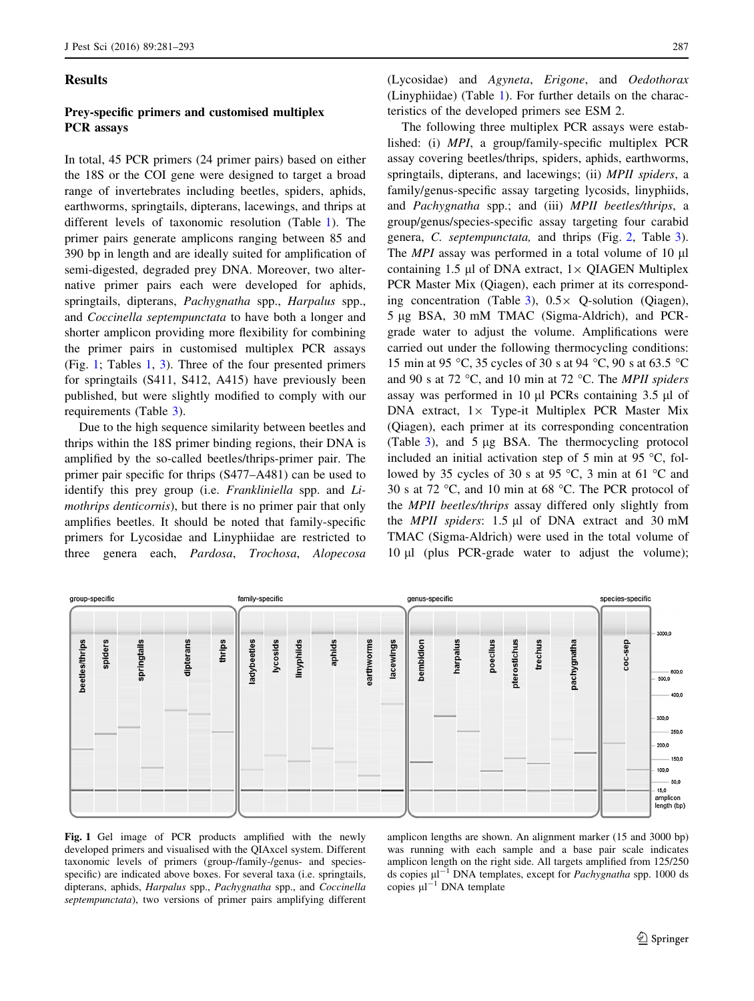#### <span id="page-6-0"></span>**Results**

#### Prey-specific primers and customised multiplex PCR assays

In total, 45 PCR primers (24 primer pairs) based on either the 18S or the COI gene were designed to target a broad range of invertebrates including beetles, spiders, aphids, earthworms, springtails, dipterans, lacewings, and thrips at different levels of taxonomic resolution (Table [1](#page-3-0)). The primer pairs generate amplicons ranging between 85 and 390 bp in length and are ideally suited for amplification of semi-digested, degraded prey DNA. Moreover, two alternative primer pairs each were developed for aphids, springtails, dipterans, Pachygnatha spp., Harpalus spp., and Coccinella septempunctata to have both a longer and shorter amplicon providing more flexibility for combining the primer pairs in customised multiplex PCR assays (Fig. 1; Tables [1](#page-3-0), [3](#page-7-0)). Three of the four presented primers for springtails (S411, S412, A415) have previously been published, but were slightly modified to comply with our requirements (Table [3](#page-7-0)).

Due to the high sequence similarity between beetles and thrips within the 18S primer binding regions, their DNA is amplified by the so-called beetles/thrips-primer pair. The primer pair specific for thrips (S477–A481) can be used to identify this prey group (i.e. Frankliniella spp. and Limothrips denticornis), but there is no primer pair that only amplifies beetles. It should be noted that family-specific primers for Lycosidae and Linyphiidae are restricted to three genera each, Pardosa, Trochosa, Alopecosa (Lycosidae) and Agyneta, Erigone, and Oedothorax (Linyphiidae) (Table [1](#page-3-0)). For further details on the characteristics of the developed primers see ESM 2.

The following three multiplex PCR assays were established: (i) MPI, a group/family-specific multiplex PCR assay covering beetles/thrips, spiders, aphids, earthworms, springtails, dipterans, and lacewings; (ii) MPII spiders, a family/genus-specific assay targeting lycosids, linyphiids, and Pachygnatha spp.; and (iii) MPII beetles/thrips, a group/genus/species-specific assay targeting four carabid genera, C. septempunctata, and thrips (Fig. [2,](#page-8-0) Table [3](#page-7-0)). The  $MPI$  assay was performed in a total volume of 10  $\mu$ l containing 1.5  $\mu$ l of DNA extract, 1 $\times$  QIAGEN Multiplex PCR Master Mix (Qiagen), each primer at its correspond-ing concentration (Table [3\)](#page-7-0),  $0.5 \times$  Q-solution (Qiagen), 5 lg BSA, 30 mM TMAC (Sigma-Aldrich), and PCRgrade water to adjust the volume. Amplifications were carried out under the following thermocycling conditions: 15 min at 95 °C, 35 cycles of 30 s at 94 °C, 90 s at 63.5 °C and 90 s at 72 °C, and 10 min at 72 °C. The *MPII spiders* assay was performed in 10  $\mu$ l PCRs containing 3.5  $\mu$ l of DNA extract,  $1 \times$  Type-it Multiplex PCR Master Mix (Qiagen), each primer at its corresponding concentration (Table [3\)](#page-7-0), and  $5 \mu$ g BSA. The thermocycling protocol included an initial activation step of 5 min at 95  $\degree$ C, followed by 35 cycles of 30 s at 95 °C, 3 min at 61 °C and 30 s at 72 °C, and 10 min at 68 °C. The PCR protocol of the MPII beetles/thrips assay differed only slightly from the *MPII spiders*:  $1.5 \mu l$  of DNA extract and  $30 \text{ mM}$ TMAC (Sigma-Aldrich) were used in the total volume of 10 µl (plus PCR-grade water to adjust the volume);



Fig. 1 Gel image of PCR products amplified with the newly developed primers and visualised with the QIAxcel system. Different taxonomic levels of primers (group-/family-/genus- and speciesspecific) are indicated above boxes. For several taxa (i.e. springtails, dipterans, aphids, Harpalus spp., Pachygnatha spp., and Coccinella septempunctata), two versions of primer pairs amplifying different

amplicon lengths are shown. An alignment marker (15 and 3000 bp) was running with each sample and a base pair scale indicates amplicon length on the right side. All targets amplified from 125/250 ds copies  $\mu$ <sup>-1</sup> DNA templates, except for *Pachygnatha* spp. 1000 ds copies  $\mu l^{-1}$  DNA template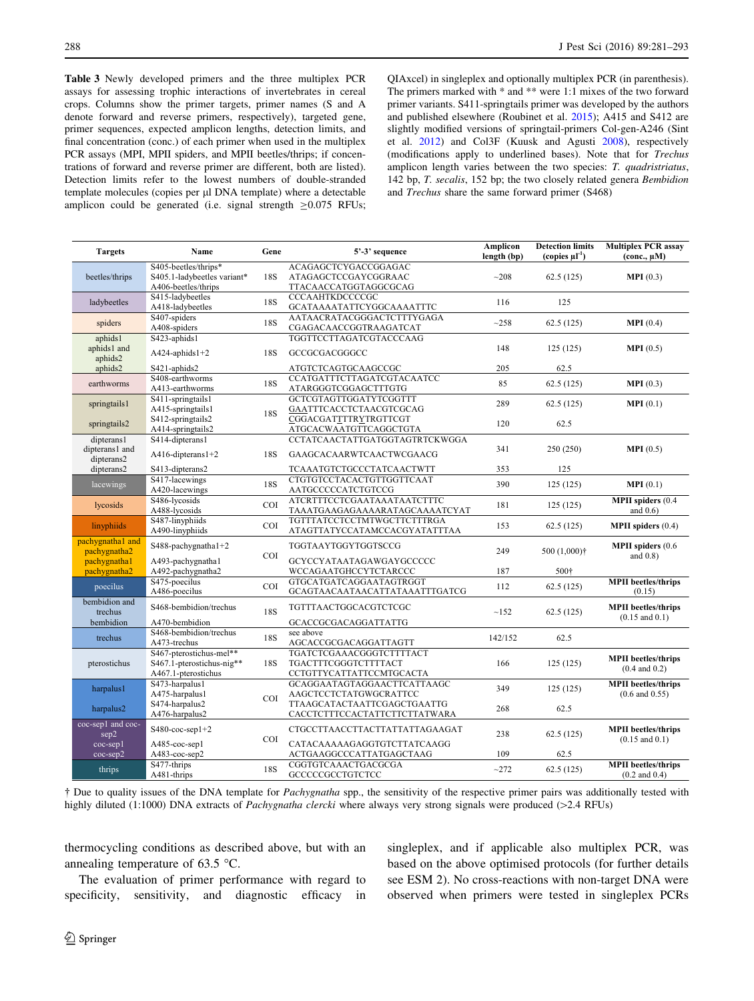<span id="page-7-0"></span>Table 3 Newly developed primers and the three multiplex PCR assays for assessing trophic interactions of invertebrates in cereal crops. Columns show the primer targets, primer names (S and A denote forward and reverse primers, respectively), targeted gene, primer sequences, expected amplicon lengths, detection limits, and final concentration (conc.) of each primer when used in the multiplex PCR assays (MPI, MPII spiders, and MPII beetles/thrips; if concentrations of forward and reverse primer are different, both are listed). Detection limits refer to the lowest numbers of double-stranded template molecules (copies per µl DNA template) where a detectable amplicon could be generated (i.e. signal strength  $\geq$ 0.075 RFUs;

QIAxcel) in singleplex and optionally multiplex PCR (in parenthesis). The primers marked with \* and \*\* were 1:1 mixes of the two forward primer variants. S411-springtails primer was developed by the authors and published elsewhere (Roubinet et al. [2015](#page-12-0)); A415 and S412 are slightly modified versions of springtail-primers Col-gen-A246 (Sint et al. [2012](#page-12-0)) and Col3F (Kuusk and Agusti [2008\)](#page-11-0), respectively (modifications apply to underlined bases). Note that for Trechus amplicon length varies between the two species: T. quadristriatus, 142 bp, T. secalis, 152 bp; the two closely related genera Bembidion and Trechus share the same forward primer (S468)

| <b>Targets</b>                             | Name                                                                        | Gene       | $5'$ -3' sequence                                                            | Amplicon<br>length (bp) | <b>Detection limits</b><br>(copies $\mu\Gamma^1$ ) | <b>Multiplex PCR assay</b><br>$(conc., \mu M)$          |
|--------------------------------------------|-----------------------------------------------------------------------------|------------|------------------------------------------------------------------------------|-------------------------|----------------------------------------------------|---------------------------------------------------------|
| beetles/thrips                             | S405-beetles/thrips*<br>S405.1-ladybeetles variant*<br>A406-beetles/thrips  | 18S        | ACAGAGCTCYGACCGGAGAC<br>ATAGAGCTCCGAYCGGRAAC<br>TTACAACCATGGTAGGCGCAG        | $-208$                  | 62.5(125)                                          | MPI(0.3)                                                |
| ladybeetles                                | S415-ladybeetles<br>A418-ladybeetles                                        | <b>18S</b> | <b>CCCAAHTKDCCCCGC</b><br>GCATAAAATATTCYGGCAAAATTTC                          | 116                     | 125                                                |                                                         |
| spiders                                    | S407-spiders<br>A408-spiders                                                | <b>18S</b> | AATAACRATACGGGACTCTTTYGAGA<br>CGAGACAACCGGTRAAGATCAT                         | $-258$                  | 62.5(125)                                          | MPI(0.4)                                                |
| aphids1<br>aphids1 and<br>aphids2          | S423-aphids1<br>A424-aphids1+2                                              | <b>18S</b> | TGGTTCCTTAGATCGTACCCAAG<br>GCCGCGACGGGCC                                     | 148                     | 125(125)                                           | MPI(0.5)                                                |
| aphids2                                    | S421-aphids2                                                                |            | ATGTCTCAGTGCAAGCCGC                                                          | 205                     | 62.5                                               |                                                         |
| earthworms                                 | S408-earthworms<br>A413-earthworms                                          | <b>18S</b> | CCATGATTTCTTAGATCGTACAATCC<br>ATARGGGTCGGAGCTTTGTG                           | 85                      | 62.5(125)                                          | MPI(0.3)                                                |
| springtails1                               | S411-springtails1<br>A415-springtails1                                      | 18S        | GCTCGTAGTTGGATYTCGGTTT<br>GAATTTCACCTCTAACGTCGCAG                            | 289                     | 62.5(125)                                          | MPI(0.1)                                                |
| springtails2                               | S412-springtails2<br>A414-springtails2                                      |            | CGGACGATTTTRYTRGTTCGT<br>ATGCACWAATGTTCAGGCTGTA                              | 120                     | 62.5                                               |                                                         |
| dipterans1<br>dipterans1 and<br>dipterans2 | S414-dipterans1<br>A416-dipterans1+2                                        | 18S        | CCTATCAACTATTGATGGTAGTRTCKWGGA<br>GAAGCACAARWTCAACTWCGAACG                   | 341                     | 250 (250)                                          | MPI(0.5)                                                |
| dipterans2                                 | S413-dipterans2                                                             |            | TCAAATGTCTGCCCTATCAACTWTT                                                    | 353                     | 125                                                |                                                         |
| lacewings                                  | S417-lacewings<br>A420-lacewings                                            | <b>18S</b> | CTGTGTCCTACACTGTTGGTTCAAT<br>AATGCCCCCATCTGTCCG                              | 390                     | 125(125)                                           | MPI(0.1)                                                |
| lycosids                                   | S486-lycosids<br>A488-lycosids                                              | COI        | ATCRTTTCCTCGAATAAATAATCTTTC<br>TAAATGAAGAGAAAARATAGCAAAATCYAT                | 181                     | 125(125)                                           | <b>MPII</b> spiders (0.4<br>and $0.6$ )                 |
| linyphiids                                 | S487-linyphiids<br>A490-linyphiids                                          | <b>COI</b> | <b>TGTTTATCCTCCTMTWGCTTCTTTRGA</b><br>ATAGTTATYCCATAMCCACGYATATTTAA          | 153                     | 62.5(125)                                          | <b>MPII</b> spiders $(0.4)$                             |
| pachygnathal and<br>pachygnatha2           | S488-pachygnatha1+2                                                         | COI        | TGGTAAYTGGYTGGTSCCG                                                          | 249                     | 500 (1,000) <sup>†</sup>                           | <b>MPII</b> spiders (0.6)<br>and $0.8$ )                |
| pachygnatha1<br>pachygnatha2               | A493-pachygnatha1<br>A492-pachygnatha2                                      |            | GCYCCYATAATAGAWGAYGCCCCC<br>WCCAGAATGHCCYTCTARCCC                            | 187                     | 500+                                               |                                                         |
| poecilus                                   | S475-poecilus<br>A486-poecilus                                              | COI        | GTGCATGATCAGGAATAGTRGGT<br>GCAGTAACAATAACATTATAAATTTGATCG                    | 112                     | 62.5(125)                                          | <b>MPII</b> beetles/thrips<br>(0.15)                    |
| bembidion and<br>trechus                   | S468-bembidion/trechus                                                      | 18S        | TGTTTAACTGGCACGTCTCGC                                                        | ~152                    | 62.5(125)                                          | <b>MPII</b> beetles/thrips<br>$(0.15$ and $0.1)$        |
| bembidion<br>trechus                       | A470-bembidion<br>S468-bembidion/trechus<br>A473-trechus                    | <b>18S</b> | GCACCGCGACAGGATTATTG<br>see above<br>AGCACCGCGACAGGATTAGTT                   | 142/152                 | 62.5                                               |                                                         |
| pterostichus                               | S467-pterostichus-mel**<br>S467.1-pterostichus-nig**<br>A467.1-pterostichus | <b>18S</b> | TGATCTCGAAACGGGTCTTTTACT<br>TGACTTTCGGGTCTTTTACT<br>CCTGTTYCATTATTCCMTGCACTA | 166                     | 125(125)                                           | <b>MPII</b> beetles/thrips<br>$(0.4 \text{ and } 0.2)$  |
| harpalus1                                  | S473-harpalus1<br>A475-harpalus1                                            | <b>COI</b> | GCAGGAATAGTAGGAACTTCATTAAGC<br>AAGCTCCTCTATGWGCRATTCC                        | 349                     | 125 (125)                                          | <b>MPII</b> beetles/thrips<br>$(0.6 \text{ and } 0.55)$ |
| harpalus2                                  | S474-harpalus2<br>A476-harpalus2                                            |            | TTAAGCATACTAATTCGAGCTGAATTG<br>CACCTCTTTCCACTATTCTTCTTATWARA                 | 268                     | 62.5                                               |                                                         |
| coc-sep1 and coc-<br>sep2                  | $S480$ -coc-sep $1+2$                                                       |            | CTGCCTTAACCTTACTTATTATTAGAAGAT                                               | 238                     | 62.5(125)                                          | <b>MPII</b> beetles/thrips<br>$(0.15$ and $0.1)$        |
| coc-sep1<br>coc-sep2                       | A485-coc-sep1<br>A483-coc-sep2                                              | COI        | CATACAAAAAGAGGTGTCTTATCAAGG<br>ACTGAAGGCCCATTATGAGCTAAG                      | 109                     | 62.5                                               |                                                         |
| thrips                                     | S477-thrips<br>A481-thrips                                                  | <b>18S</b> | CGGTGTCAAACTGACGCGA<br>GCCCCCGCCTGTCTCC                                      | $-272$                  | 62.5(125)                                          | <b>MPII</b> beetles/thrips<br>$(0.2$ and $0.4)$         |

<sup>†</sup> Due to quality issues of the DNA template for Pachygnatha spp., the sensitivity of the respective primer pairs was additionally tested with highly diluted (1:1000) DNA extracts of *Pachygnatha clercki* where always very strong signals were produced ( $>2.4$  RFUs)

thermocycling conditions as described above, but with an annealing temperature of 63.5  $\degree$ C.

The evaluation of primer performance with regard to specificity, sensitivity, and diagnostic efficacy in singleplex, and if applicable also multiplex PCR, was based on the above optimised protocols (for further details see ESM 2). No cross-reactions with non-target DNA were observed when primers were tested in singleplex PCRs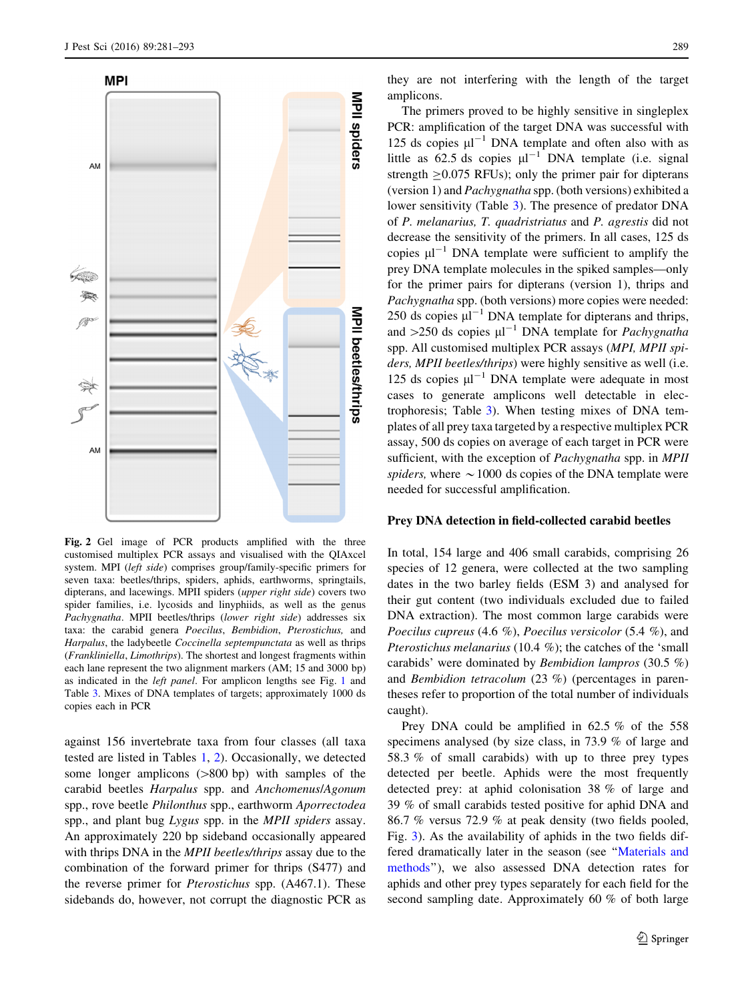<span id="page-8-0"></span>

Fig. 2 Gel image of PCR products amplified with the three customised multiplex PCR assays and visualised with the QIAxcel system. MPI (left side) comprises group/family-specific primers for seven taxa: beetles/thrips, spiders, aphids, earthworms, springtails, dipterans, and lacewings. MPII spiders (upper right side) covers two spider families, i.e. lycosids and linyphiids, as well as the genus Pachygnatha. MPII beetles/thrips (lower right side) addresses six taxa: the carabid genera Poecilus, Bembidion, Pterostichus, and Harpalus, the ladybeetle Coccinella septempunctata as well as thrips (Frankliniella, Limothrips). The shortest and longest fragments within each lane represent the two alignment markers (AM; 15 and 3000 bp) as indicated in the left panel. For amplicon lengths see Fig. [1](#page-6-0) and Table [3](#page-7-0). Mixes of DNA templates of targets; approximately 1000 ds copies each in PCR

against 156 invertebrate taxa from four classes (all taxa tested are listed in Tables [1,](#page-3-0) [2](#page-4-0)). Occasionally, we detected some longer amplicons  $(>=800$  bp) with samples of the carabid beetles Harpalus spp. and Anchomenus/Agonum spp., rove beetle Philonthus spp., earthworm Aporrectodea spp., and plant bug Lygus spp. in the MPII spiders assay. An approximately 220 bp sideband occasionally appeared with thrips DNA in the *MPII beetles/thrips* assay due to the combination of the forward primer for thrips (S477) and the reverse primer for Pterostichus spp. (A467.1). These sidebands do, however, not corrupt the diagnostic PCR as

they are not interfering with the length of the target amplicons.

The primers proved to be highly sensitive in singleplex PCR: amplification of the target DNA was successful with 125 ds copies  $\mu$ <sup>-1</sup> DNA template and often also with as little as 62.5 ds copies  $\mu l^{-1}$  DNA template (i.e. signal strength  $>0.075$  RFUs); only the primer pair for dipterans (version 1) and Pachygnatha spp. (both versions) exhibited a lower sensitivity (Table [3](#page-7-0)). The presence of predator DNA of P. melanarius, T. quadristriatus and P. agrestis did not decrease the sensitivity of the primers. In all cases, 125 ds copies  $\mu$ <sup>-1</sup> DNA template were sufficient to amplify the prey DNA template molecules in the spiked samples—only for the primer pairs for dipterans (version 1), thrips and Pachygnatha spp. (both versions) more copies were needed: 250 ds copies  $\mu$ <sup>-1</sup> DNA template for dipterans and thrips, and  $>$ 250 ds copies  $\mu$ <sup>-1</sup> DNA template for *Pachygnatha* spp. All customised multiplex PCR assays (MPI, MPII spiders, MPII beetles/thrips) were highly sensitive as well (i.e. 125 ds copies  $\mu$ l<sup>-1</sup> DNA template were adequate in most cases to generate amplicons well detectable in electrophoresis; Table [3\)](#page-7-0). When testing mixes of DNA templates of all prey taxa targeted by a respective multiplex PCR assay, 500 ds copies on average of each target in PCR were sufficient, with the exception of *Pachygnatha* spp. in *MPII* spiders, where  $\sim$  1000 ds copies of the DNA template were needed for successful amplification.

#### Prey DNA detection in field-collected carabid beetles

In total, 154 large and 406 small carabids, comprising 26 species of 12 genera, were collected at the two sampling dates in the two barley fields (ESM 3) and analysed for their gut content (two individuals excluded due to failed DNA extraction). The most common large carabids were Poecilus cupreus (4.6 %), Poecilus versicolor (5.4 %), and Pterostichus melanarius (10.4 %); the catches of the 'small carabids' were dominated by Bembidion lampros (30.5 %) and Bembidion tetracolum (23 %) (percentages in parentheses refer to proportion of the total number of individuals caught).

Prey DNA could be amplified in 62.5 % of the 558 specimens analysed (by size class, in 73.9 % of large and 58.3 % of small carabids) with up to three prey types detected per beetle. Aphids were the most frequently detected prey: at aphid colonisation 38 % of large and 39 % of small carabids tested positive for aphid DNA and 86.7 % versus 72.9 % at peak density (two fields pooled, Fig. [3](#page-9-0)). As the availability of aphids in the two fields differed dramatically later in the season (see '['Materials and](#page-2-0) [methods](#page-2-0)''), we also assessed DNA detection rates for aphids and other prey types separately for each field for the second sampling date. Approximately 60 % of both large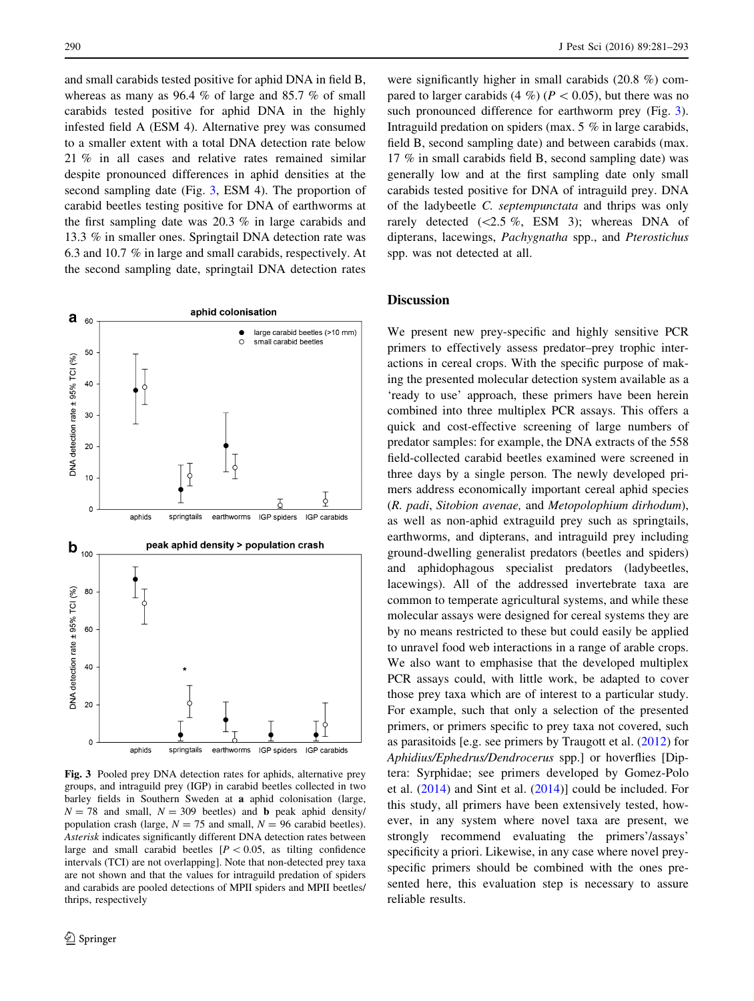<span id="page-9-0"></span>and small carabids tested positive for aphid DNA in field B, whereas as many as 96.4 % of large and 85.7 % of small carabids tested positive for aphid DNA in the highly infested field A (ESM 4). Alternative prey was consumed to a smaller extent with a total DNA detection rate below 21 % in all cases and relative rates remained similar despite pronounced differences in aphid densities at the second sampling date (Fig. 3, ESM 4). The proportion of carabid beetles testing positive for DNA of earthworms at the first sampling date was 20.3 % in large carabids and 13.3 % in smaller ones. Springtail DNA detection rate was 6.3 and 10.7 % in large and small carabids, respectively. At the second sampling date, springtail DNA detection rates



Fig. 3 Pooled prey DNA detection rates for aphids, alternative prey groups, and intraguild prey (IGP) in carabid beetles collected in two barley fields in Southern Sweden at a aphid colonisation (large,  $N = 78$  and small,  $N = 309$  beetles) and **b** peak aphid density/ population crash (large,  $N = 75$  and small,  $N = 96$  carabid beetles). Asterisk indicates significantly different DNA detection rates between large and small carabid beetles  $[P \lt 0.05,$  as tilting confidence intervals (TCI) are not overlapping]. Note that non-detected prey taxa are not shown and that the values for intraguild predation of spiders and carabids are pooled detections of MPII spiders and MPII beetles/ thrips, respectively

were significantly higher in small carabids (20.8 %) compared to larger carabids (4 %) ( $P < 0.05$ ), but there was no such pronounced difference for earthworm prey (Fig. 3). Intraguild predation on spiders (max. 5 % in large carabids, field B, second sampling date) and between carabids (max. 17 % in small carabids field B, second sampling date) was generally low and at the first sampling date only small carabids tested positive for DNA of intraguild prey. DNA of the ladybeetle C. septempunctata and thrips was only rarely detected  $(<2.5 \%$ , ESM 3); whereas DNA of dipterans, lacewings, Pachygnatha spp., and Pterostichus spp. was not detected at all.

### **Discussion**

We present new prey-specific and highly sensitive PCR primers to effectively assess predator–prey trophic interactions in cereal crops. With the specific purpose of making the presented molecular detection system available as a 'ready to use' approach, these primers have been herein combined into three multiplex PCR assays. This offers a quick and cost-effective screening of large numbers of predator samples: for example, the DNA extracts of the 558 field-collected carabid beetles examined were screened in three days by a single person. The newly developed primers address economically important cereal aphid species (R. padi, Sitobion avenae, and Metopolophium dirhodum), as well as non-aphid extraguild prey such as springtails, earthworms, and dipterans, and intraguild prey including ground-dwelling generalist predators (beetles and spiders) and aphidophagous specialist predators (ladybeetles, lacewings). All of the addressed invertebrate taxa are common to temperate agricultural systems, and while these molecular assays were designed for cereal systems they are by no means restricted to these but could easily be applied to unravel food web interactions in a range of arable crops. We also want to emphasise that the developed multiplex PCR assays could, with little work, be adapted to cover those prey taxa which are of interest to a particular study. For example, such that only a selection of the presented primers, or primers specific to prey taxa not covered, such as parasitoids [e.g. see primers by Traugott et al. ([2012\)](#page-12-0) for Aphidius/Ephedrus/Dendrocerus spp.] or hoverflies [Diptera: Syrphidae; see primers developed by Gomez-Polo et al. ([2014\)](#page-11-0) and Sint et al. ([2014\)](#page-12-0)] could be included. For this study, all primers have been extensively tested, however, in any system where novel taxa are present, we strongly recommend evaluating the primers'/assays' specificity a priori. Likewise, in any case where novel preyspecific primers should be combined with the ones presented here, this evaluation step is necessary to assure reliable results.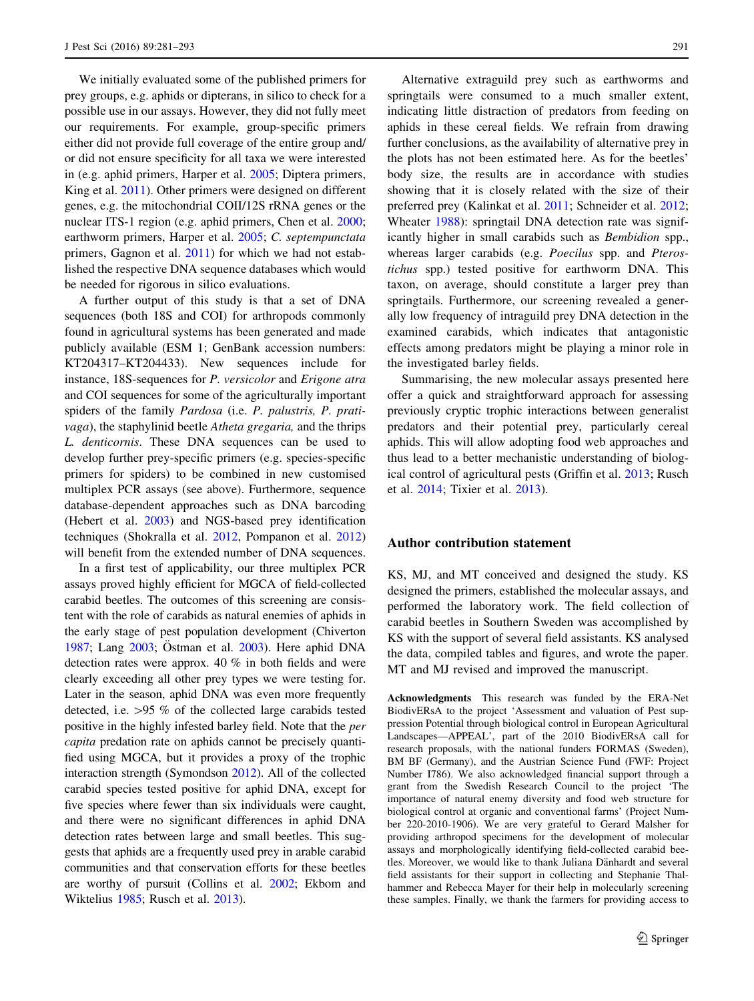We initially evaluated some of the published primers for prey groups, e.g. aphids or dipterans, in silico to check for a possible use in our assays. However, they did not fully meet our requirements. For example, group-specific primers either did not provide full coverage of the entire group and/ or did not ensure specificity for all taxa we were interested in (e.g. aphid primers, Harper et al. [2005](#page-11-0); Diptera primers, King et al. [2011](#page-11-0)). Other primers were designed on different genes, e.g. the mitochondrial COII/12S rRNA genes or the nuclear ITS-1 region (e.g. aphid primers, Chen et al. [2000](#page-11-0); earthworm primers, Harper et al. [2005](#page-11-0); C. septempunctata primers, Gagnon et al. [2011](#page-11-0)) for which we had not established the respective DNA sequence databases which would be needed for rigorous in silico evaluations.

A further output of this study is that a set of DNA sequences (both 18S and COI) for arthropods commonly found in agricultural systems has been generated and made publicly available (ESM 1; GenBank accession numbers: KT204317–KT204433). New sequences include for instance, 18S-sequences for P. versicolor and Erigone atra and COI sequences for some of the agriculturally important spiders of the family Pardosa (i.e. P. palustris, P. prativaga), the staphylinid beetle Atheta gregaria, and the thrips L. denticornis. These DNA sequences can be used to develop further prey-specific primers (e.g. species-specific primers for spiders) to be combined in new customised multiplex PCR assays (see above). Furthermore, sequence database-dependent approaches such as DNA barcoding (Hebert et al. [2003](#page-11-0)) and NGS-based prey identification techniques (Shokralla et al. [2012](#page-12-0), Pompanon et al. [2012\)](#page-12-0) will benefit from the extended number of DNA sequences.

In a first test of applicability, our three multiplex PCR assays proved highly efficient for MGCA of field-collected carabid beetles. The outcomes of this screening are consistent with the role of carabids as natural enemies of aphids in the early stage of pest population development (Chiverton [1987;](#page-11-0) Lang [2003;](#page-11-0) Östman et al. [2003](#page-12-0)). Here aphid DNA detection rates were approx. 40 % in both fields and were clearly exceeding all other prey types we were testing for. Later in the season, aphid DNA was even more frequently detected, i.e.  $>95 \%$  of the collected large carabids tested positive in the highly infested barley field. Note that the per capita predation rate on aphids cannot be precisely quantified using MGCA, but it provides a proxy of the trophic interaction strength (Symondson [2012\)](#page-12-0). All of the collected carabid species tested positive for aphid DNA, except for five species where fewer than six individuals were caught, and there were no significant differences in aphid DNA detection rates between large and small beetles. This suggests that aphids are a frequently used prey in arable carabid communities and that conservation efforts for these beetles are worthy of pursuit (Collins et al. [2002;](#page-11-0) Ekbom and Wiktelius [1985](#page-11-0); Rusch et al. [2013\)](#page-12-0).

Alternative extraguild prey such as earthworms and springtails were consumed to a much smaller extent, indicating little distraction of predators from feeding on aphids in these cereal fields. We refrain from drawing further conclusions, as the availability of alternative prey in the plots has not been estimated here. As for the beetles' body size, the results are in accordance with studies showing that it is closely related with the size of their preferred prey (Kalinkat et al. [2011;](#page-11-0) Schneider et al. [2012](#page-12-0); Wheater [1988\)](#page-12-0): springtail DNA detection rate was significantly higher in small carabids such as Bembidion spp., whereas larger carabids (e.g. Poecilus spp. and Pterostichus spp.) tested positive for earthworm DNA. This taxon, on average, should constitute a larger prey than springtails. Furthermore, our screening revealed a generally low frequency of intraguild prey DNA detection in the examined carabids, which indicates that antagonistic effects among predators might be playing a minor role in the investigated barley fields.

Summarising, the new molecular assays presented here offer a quick and straightforward approach for assessing previously cryptic trophic interactions between generalist predators and their potential prey, particularly cereal aphids. This will allow adopting food web approaches and thus lead to a better mechanistic understanding of biological control of agricultural pests (Griffin et al. [2013;](#page-11-0) Rusch et al. [2014;](#page-12-0) Tixier et al. [2013](#page-12-0)).

#### Author contribution statement

KS, MJ, and MT conceived and designed the study. KS designed the primers, established the molecular assays, and performed the laboratory work. The field collection of carabid beetles in Southern Sweden was accomplished by KS with the support of several field assistants. KS analysed the data, compiled tables and figures, and wrote the paper. MT and MJ revised and improved the manuscript.

Acknowledgments This research was funded by the ERA-Net BiodivERsA to the project 'Assessment and valuation of Pest suppression Potential through biological control in European Agricultural Landscapes—APPEAL', part of the 2010 BiodivERsA call for research proposals, with the national funders FORMAS (Sweden), BM BF (Germany), and the Austrian Science Fund (FWF: Project Number I786). We also acknowledged financial support through a grant from the Swedish Research Council to the project 'The importance of natural enemy diversity and food web structure for biological control at organic and conventional farms' (Project Number 220-2010-1906). We are very grateful to Gerard Malsher for providing arthropod specimens for the development of molecular assays and morphologically identifying field-collected carabid beetles. Moreover, we would like to thank Juliana Dänhardt and several field assistants for their support in collecting and Stephanie Thalhammer and Rebecca Mayer for their help in molecularly screening these samples. Finally, we thank the farmers for providing access to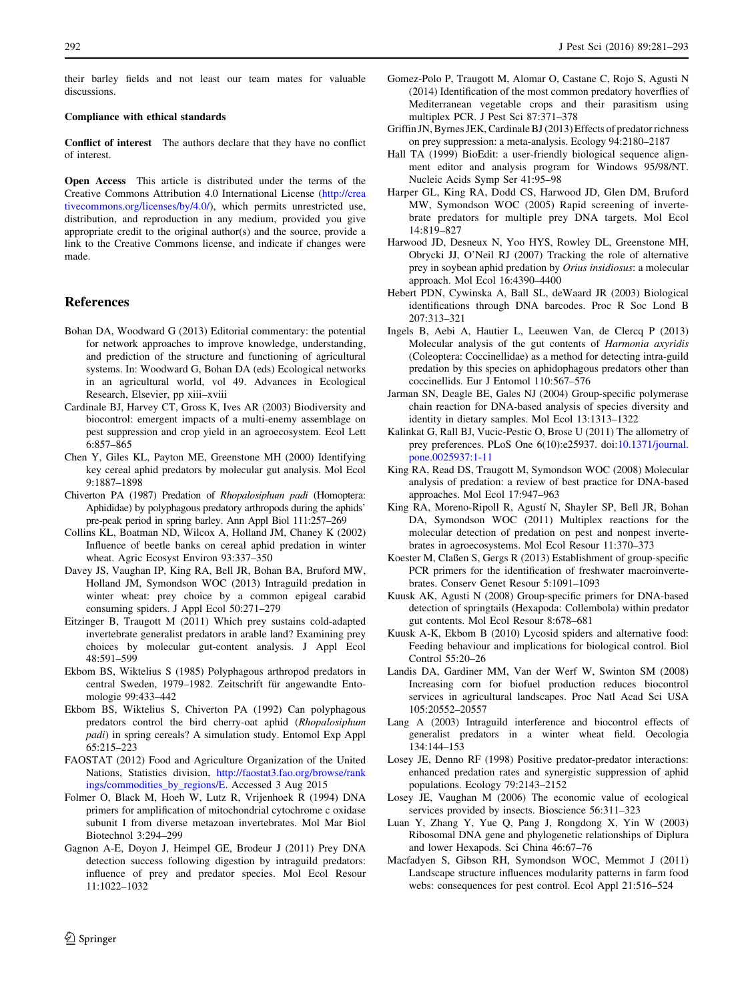<span id="page-11-0"></span>their barley fields and not least our team mates for valuable discussions.

#### Compliance with ethical standards

Conflict of interest The authors declare that they have no conflict of interest.

Open Access This article is distributed under the terms of the Creative Commons Attribution 4.0 International License ([http://crea](http://creativecommons.org/licenses/by/4.0/) [tivecommons.org/licenses/by/4.0/\)](http://creativecommons.org/licenses/by/4.0/), which permits unrestricted use, distribution, and reproduction in any medium, provided you give appropriate credit to the original author(s) and the source, provide a link to the Creative Commons license, and indicate if changes were made.

#### References

- Bohan DA, Woodward G (2013) Editorial commentary: the potential for network approaches to improve knowledge, understanding, and prediction of the structure and functioning of agricultural systems. In: Woodward G, Bohan DA (eds) Ecological networks in an agricultural world, vol 49. Advances in Ecological Research, Elsevier, pp xiii–xviii
- Cardinale BJ, Harvey CT, Gross K, Ives AR (2003) Biodiversity and biocontrol: emergent impacts of a multi-enemy assemblage on pest suppression and crop yield in an agroecosystem. Ecol Lett 6:857–865
- Chen Y, Giles KL, Payton ME, Greenstone MH (2000) Identifying key cereal aphid predators by molecular gut analysis. Mol Ecol 9:1887–1898
- Chiverton PA (1987) Predation of Rhopalosiphum padi (Homoptera: Aphididae) by polyphagous predatory arthropods during the aphids' pre-peak period in spring barley. Ann Appl Biol 111:257–269
- Collins KL, Boatman ND, Wilcox A, Holland JM, Chaney K (2002) Influence of beetle banks on cereal aphid predation in winter wheat. Agric Ecosyst Environ 93:337–350
- Davey JS, Vaughan IP, King RA, Bell JR, Bohan BA, Bruford MW, Holland JM, Symondson WOC (2013) Intraguild predation in winter wheat: prey choice by a common epigeal carabid consuming spiders. J Appl Ecol 50:271–279
- Eitzinger B, Traugott M (2011) Which prey sustains cold-adapted invertebrate generalist predators in arable land? Examining prey choices by molecular gut-content analysis. J Appl Ecol 48:591–599
- Ekbom BS, Wiktelius S (1985) Polyphagous arthropod predators in central Sweden, 1979–1982. Zeitschrift für angewandte Entomologie 99:433–442
- Ekbom BS, Wiktelius S, Chiverton PA (1992) Can polyphagous predators control the bird cherry-oat aphid (Rhopalosiphum padi) in spring cereals? A simulation study. Entomol Exp Appl 65:215–223
- FAOSTAT (2012) Food and Agriculture Organization of the United Nations, Statistics division, [http://faostat3.fao.org/browse/rank](http://faostat3.fao.org/browse/rankings/commodities_by_regions/E) [ings/commodities\\_by\\_regions/E.](http://faostat3.fao.org/browse/rankings/commodities_by_regions/E) Accessed 3 Aug 2015
- Folmer O, Black M, Hoeh W, Lutz R, Vrijenhoek R (1994) DNA primers for amplification of mitochondrial cytochrome c oxidase subunit I from diverse metazoan invertebrates. Mol Mar Biol Biotechnol 3:294–299
- Gagnon A-E, Doyon J, Heimpel GE, Brodeur J (2011) Prey DNA detection success following digestion by intraguild predators: influence of prey and predator species. Mol Ecol Resour 11:1022–1032
- Gomez-Polo P, Traugott M, Alomar O, Castane C, Rojo S, Agusti N (2014) Identification of the most common predatory hoverflies of Mediterranean vegetable crops and their parasitism using multiplex PCR. J Pest Sci 87:371–378
- Griffin JN, Byrnes JEK, Cardinale BJ (2013) Effects of predator richness on prey suppression: a meta-analysis. Ecology 94:2180–2187
- Hall TA (1999) BioEdit: a user-friendly biological sequence alignment editor and analysis program for Windows 95/98/NT. Nucleic Acids Symp Ser 41:95–98
- Harper GL, King RA, Dodd CS, Harwood JD, Glen DM, Bruford MW, Symondson WOC (2005) Rapid screening of invertebrate predators for multiple prey DNA targets. Mol Ecol 14:819–827
- Harwood JD, Desneux N, Yoo HYS, Rowley DL, Greenstone MH, Obrycki JJ, O'Neil RJ (2007) Tracking the role of alternative prey in soybean aphid predation by Orius insidiosus: a molecular approach. Mol Ecol 16:4390–4400
- Hebert PDN, Cywinska A, Ball SL, deWaard JR (2003) Biological identifications through DNA barcodes. Proc R Soc Lond B 207:313–321
- Ingels B, Aebi A, Hautier L, Leeuwen Van, de Clercq P (2013) Molecular analysis of the gut contents of Harmonia axyridis (Coleoptera: Coccinellidae) as a method for detecting intra-guild predation by this species on aphidophagous predators other than coccinellids. Eur J Entomol 110:567–576
- Jarman SN, Deagle BE, Gales NJ (2004) Group-specific polymerase chain reaction for DNA-based analysis of species diversity and identity in dietary samples. Mol Ecol 13:1313–1322
- Kalinkat G, Rall BJ, Vucic-Pestic O, Brose U (2011) The allometry of prey preferences. PLoS One 6(10):e25937. doi[:10.1371/journal.](http://dx.doi.org/10.1371/journal.pone.0025937:1-11) [pone.0025937:1-11](http://dx.doi.org/10.1371/journal.pone.0025937:1-11)
- King RA, Read DS, Traugott M, Symondson WOC (2008) Molecular analysis of predation: a review of best practice for DNA-based approaches. Mol Ecol 17:947–963
- King RA, Moreno-Ripoll R, Agustí N, Shayler SP, Bell JR, Bohan DA, Symondson WOC (2011) Multiplex reactions for the molecular detection of predation on pest and nonpest invertebrates in agroecosystems. Mol Ecol Resour 11:370–373
- Koester M, Claßen S, Gergs R (2013) Establishment of group-specific PCR primers for the identification of freshwater macroinvertebrates. Conserv Genet Resour 5:1091–1093
- Kuusk AK, Agusti N (2008) Group-specific primers for DNA-based detection of springtails (Hexapoda: Collembola) within predator gut contents. Mol Ecol Resour 8:678–681
- Kuusk A-K, Ekbom B (2010) Lycosid spiders and alternative food: Feeding behaviour and implications for biological control. Biol Control 55:20–26
- Landis DA, Gardiner MM, Van der Werf W, Swinton SM (2008) Increasing corn for biofuel production reduces biocontrol services in agricultural landscapes. Proc Natl Acad Sci USA 105:20552–20557
- Lang A (2003) Intraguild interference and biocontrol effects of generalist predators in a winter wheat field. Oecologia 134:144–153
- Losey JE, Denno RF (1998) Positive predator-predator interactions: enhanced predation rates and synergistic suppression of aphid populations. Ecology 79:2143–2152
- Losey JE, Vaughan M (2006) The economic value of ecological services provided by insects. Bioscience 56:311–323
- Luan Y, Zhang Y, Yue Q, Pang J, Rongdong X, Yin W (2003) Ribosomal DNA gene and phylogenetic relationships of Diplura and lower Hexapods. Sci China 46:67–76
- Macfadyen S, Gibson RH, Symondson WOC, Memmot J (2011) Landscape structure influences modularity patterns in farm food webs: consequences for pest control. Ecol Appl 21:516–524